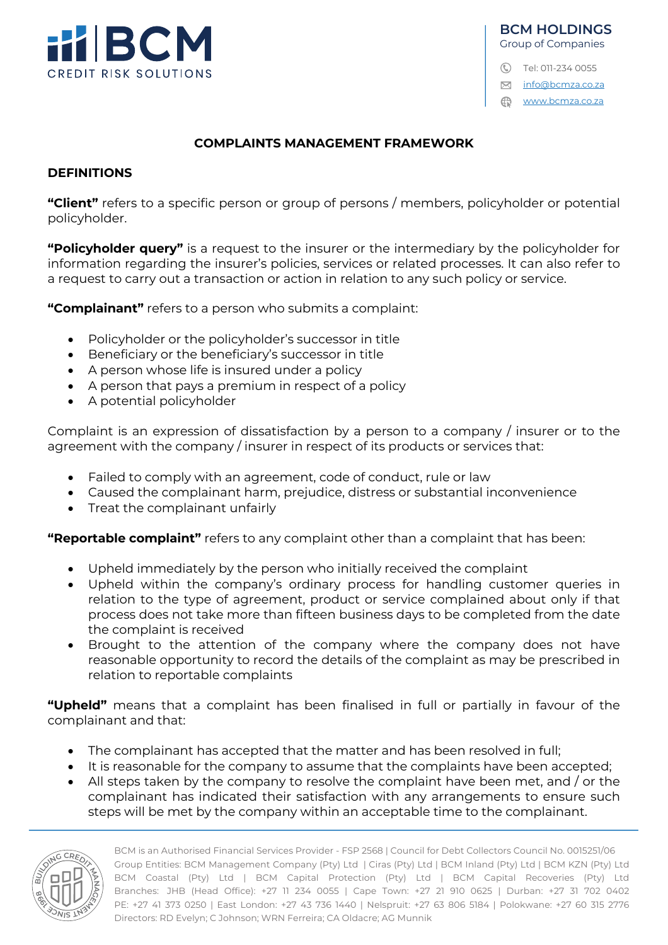

C Tel: 011-234 0055

**M** info@bcmza.co.za

www.bcmza.co.za

### **COMPLAINTS MANAGEMENT FRAMEWORK**

#### **DEFINITIONS**

**"Client"** refers to a specific person or group of persons / members, policyholder or potential policyholder.

**"Policyholder query"** is a request to the insurer or the intermediary by the policyholder for information regarding the insurer's policies, services or related processes. It can also refer to a request to carry out a transaction or action in relation to any such policy or service.

**"Complainant"** refers to a person who submits a complaint:

- Policyholder or the policyholder's successor in title
- Beneficiary or the beneficiary's successor in title
- A person whose life is insured under a policy
- A person that pays a premium in respect of a policy
- A potential policyholder

Complaint is an expression of dissatisfaction by a person to a company / insurer or to the agreement with the company / insurer in respect of its products or services that:

- Failed to comply with an agreement, code of conduct, rule or law
- Caused the complainant harm, prejudice, distress or substantial inconvenience
- Treat the complainant unfairly

**"Reportable complaint"** refers to any complaint other than a complaint that has been:

- Upheld immediately by the person who initially received the complaint
- Upheld within the company's ordinary process for handling customer queries in relation to the type of agreement, product or service complained about only if that process does not take more than fifteen business days to be completed from the date the complaint is received
- Brought to the attention of the company where the company does not have reasonable opportunity to record the details of the complaint as may be prescribed in relation to reportable complaints

**"Upheld"** means that a complaint has been finalised in full or partially in favour of the complainant and that:

- The complainant has accepted that the matter and has been resolved in full;
- It is reasonable for the company to assume that the complaints have been accepted;
- All steps taken by the company to resolve the complaint have been met, and / or the complainant has indicated their satisfaction with any arrangements to ensure such steps will be met by the company within an acceptable time to the complainant.

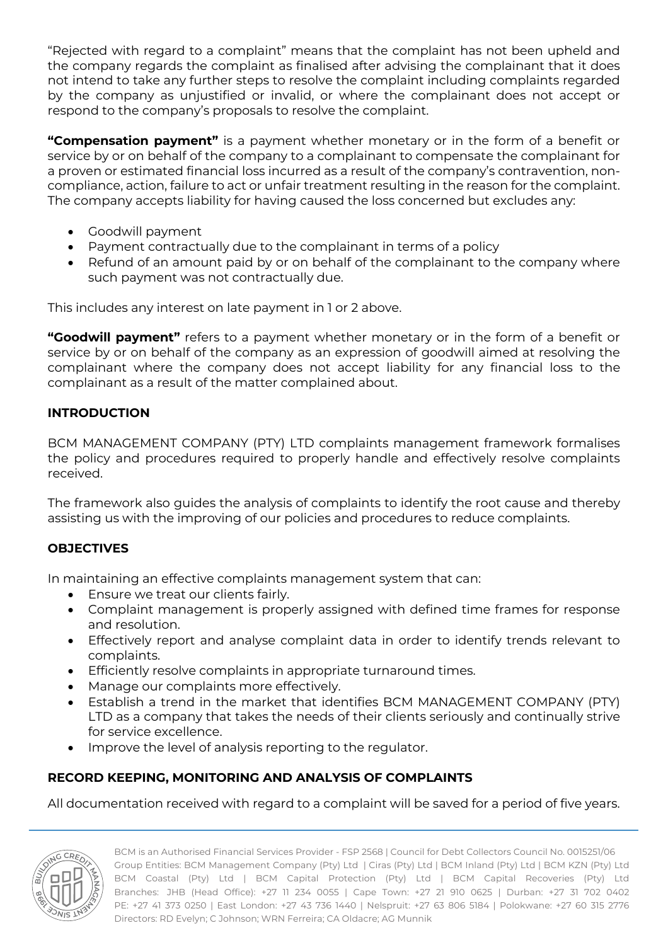"Rejected with regard to a complaint" means that the complaint has not been upheld and the company regards the complaint as finalised after advising the complainant that it does not intend to take any further steps to resolve the complaint including complaints regarded by the company as unjustified or invalid, or where the complainant does not accept or respond to the company's proposals to resolve the complaint.

**"Compensation payment"** is a payment whether monetary or in the form of a benefit or service by or on behalf of the company to a complainant to compensate the complainant for a proven or estimated financial loss incurred as a result of the company's contravention, noncompliance, action, failure to act or unfair treatment resulting in the reason for the complaint. The company accepts liability for having caused the loss concerned but excludes any:

- Goodwill payment
- Payment contractually due to the complainant in terms of a policy
- Refund of an amount paid by or on behalf of the complainant to the company where such payment was not contractually due.

This includes any interest on late payment in 1 or 2 above.

**"Goodwill payment"** refers to a payment whether monetary or in the form of a benefit or service by or on behalf of the company as an expression of goodwill aimed at resolving the complainant where the company does not accept liability for any financial loss to the complainant as a result of the matter complained about.

## **INTRODUCTION**

BCM MANAGEMENT COMPANY (PTY) LTD complaints management framework formalises the policy and procedures required to properly handle and effectively resolve complaints received.

The framework also guides the analysis of complaints to identify the root cause and thereby assisting us with the improving of our policies and procedures to reduce complaints.

## **OBJECTIVES**

In maintaining an effective complaints management system that can:

- Ensure we treat our clients fairly.
- Complaint management is properly assigned with defined time frames for response and resolution.
- Effectively report and analyse complaint data in order to identify trends relevant to complaints.
- Efficiently resolve complaints in appropriate turnaround times.
- Manage our complaints more effectively.
- Establish a trend in the market that identifies BCM MANAGEMENT COMPANY (PTY) LTD as a company that takes the needs of their clients seriously and continually strive for service excellence.
- Improve the level of analysis reporting to the regulator.

# **RECORD KEEPING, MONITORING AND ANALYSIS OF COMPLAINTS**

All documentation received with regard to a complaint will be saved for a period of five years.

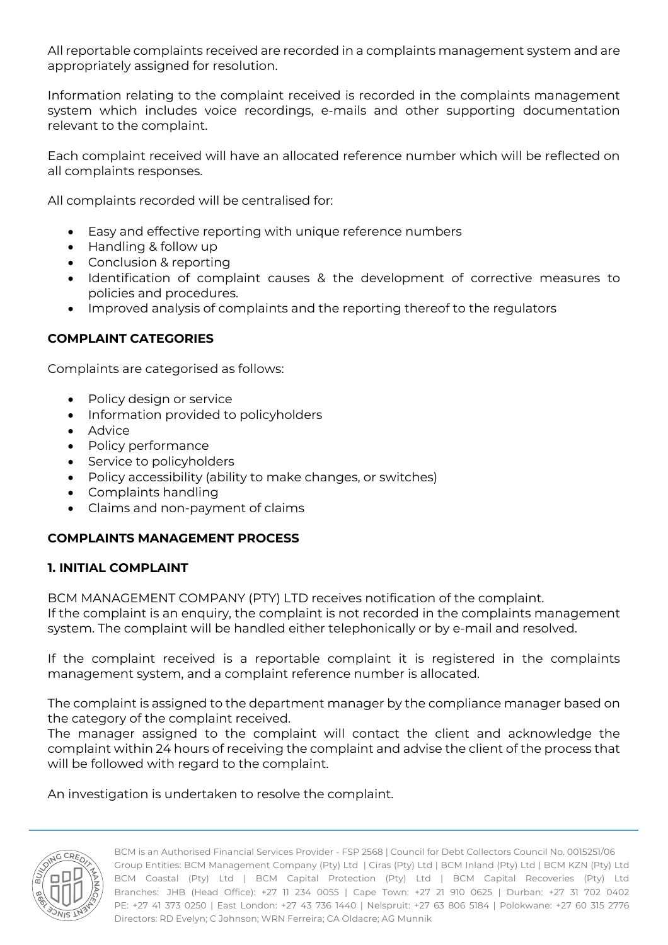All reportable complaints received are recorded in a complaints management system and are appropriately assigned for resolution.

Information relating to the complaint received is recorded in the complaints management system which includes voice recordings, e-mails and other supporting documentation relevant to the complaint.

Each complaint received will have an allocated reference number which will be reflected on all complaints responses.

All complaints recorded will be centralised for:

- Easy and effective reporting with unique reference numbers
- Handling & follow up
- Conclusion & reporting
- Identification of complaint causes & the development of corrective measures to policies and procedures.
- Improved analysis of complaints and the reporting thereof to the regulators

#### **COMPLAINT CATEGORIES**

Complaints are categorised as follows:

- Policy design or service
- Information provided to policyholders
- Advice
- Policy performance
- Service to policyholders
- Policy accessibility (ability to make changes, or switches)
- Complaints handling
- Claims and non-payment of claims

### **COMPLAINTS MANAGEMENT PROCESS**

### **1. INITIAL COMPLAINT**

BCM MANAGEMENT COMPANY (PTY) LTD receives notification of the complaint. If the complaint is an enquiry, the complaint is not recorded in the complaints management system. The complaint will be handled either telephonically or by e-mail and resolved.

If the complaint received is a reportable complaint it is registered in the complaints management system, and a complaint reference number is allocated.

The complaint is assigned to the department manager by the compliance manager based on the category of the complaint received.

The manager assigned to the complaint will contact the client and acknowledge the complaint within 24 hours of receiving the complaint and advise the client of the process that will be followed with regard to the complaint.

An investigation is undertaken to resolve the complaint.

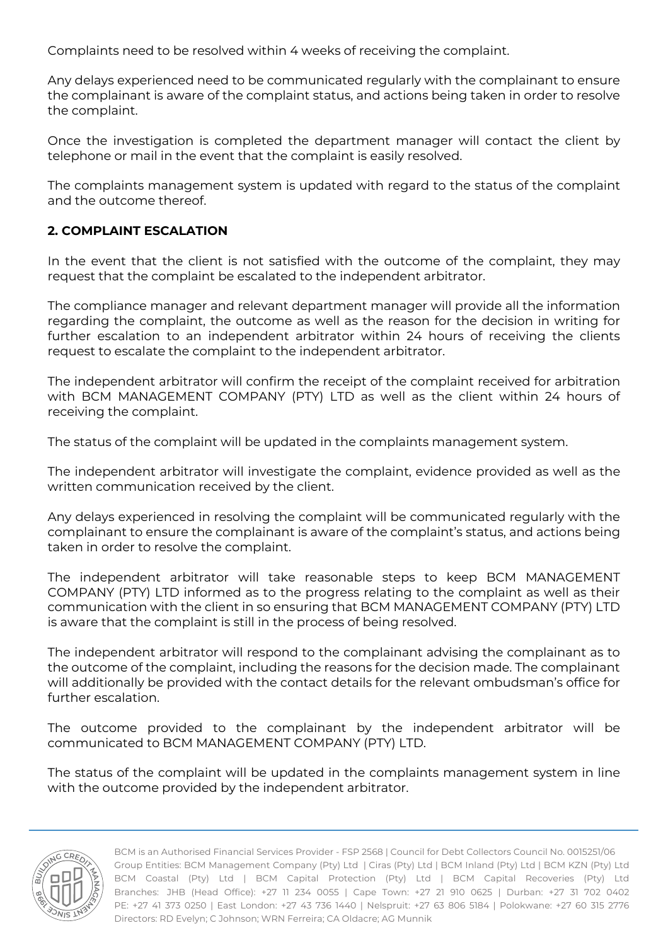Complaints need to be resolved within 4 weeks of receiving the complaint.

Any delays experienced need to be communicated regularly with the complainant to ensure the complainant is aware of the complaint status, and actions being taken in order to resolve the complaint.

Once the investigation is completed the department manager will contact the client by telephone or mail in the event that the complaint is easily resolved.

The complaints management system is updated with regard to the status of the complaint and the outcome thereof.

### **2. COMPLAINT ESCALATION**

In the event that the client is not satisfied with the outcome of the complaint, they may request that the complaint be escalated to the independent arbitrator.

The compliance manager and relevant department manager will provide all the information regarding the complaint, the outcome as well as the reason for the decision in writing for further escalation to an independent arbitrator within 24 hours of receiving the clients request to escalate the complaint to the independent arbitrator.

The independent arbitrator will confirm the receipt of the complaint received for arbitration with BCM MANAGEMENT COMPANY (PTY) LTD as well as the client within 24 hours of receiving the complaint.

The status of the complaint will be updated in the complaints management system.

The independent arbitrator will investigate the complaint, evidence provided as well as the written communication received by the client.

Any delays experienced in resolving the complaint will be communicated regularly with the complainant to ensure the complainant is aware of the complaint's status, and actions being taken in order to resolve the complaint.

The independent arbitrator will take reasonable steps to keep BCM MANAGEMENT COMPANY (PTY) LTD informed as to the progress relating to the complaint as well as their communication with the client in so ensuring that BCM MANAGEMENT COMPANY (PTY) LTD is aware that the complaint is still in the process of being resolved.

The independent arbitrator will respond to the complainant advising the complainant as to the outcome of the complaint, including the reasons for the decision made. The complainant will additionally be provided with the contact details for the relevant ombudsman's office for further escalation.

The outcome provided to the complainant by the independent arbitrator will be communicated to BCM MANAGEMENT COMPANY (PTY) LTD.

The status of the complaint will be updated in the complaints management system in line with the outcome provided by the independent arbitrator.